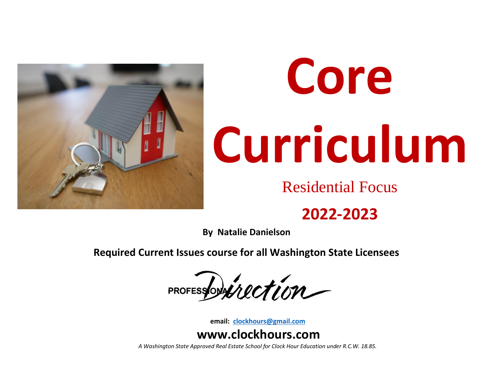

# **Core Curriculum**

Residential Focus

### **2022-2023**

**By Natalie Danielson**

**Required Current Issues course for all Washington State Licensees**

PROFESSOPHILECTION

**email: [clockhours@gmail.com](mailto:clockhours@gmail.com)**

### **www.clockhours.com**

*A Washington State Approved Real Estate School for Clock Hour Education under R.C.W. 18.85.*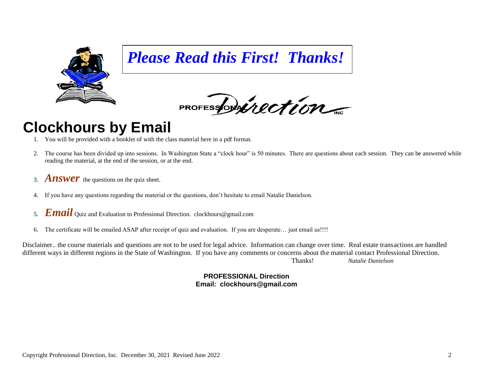

*Please Read this First! Thanks!*

PROFESSORANCTION

### **Clockhours by Email**

- 1. You will be provided with a booklet of with the class material here in a pdf format.
- 2. The course has been divided up into sessions. In Washington State a "clock hour" is 50 minutes. There are questions about each session. They can be answered while reading the material, at the end of the session, or at the end.
- 3. *Answer* the questions on the quiz sheet.
- 4. If you have any questions regarding the material or the questions, don't hesitate to email Natalie Danielson.
- 5. *Email* Quiz and Evaluation to Professional Direction. clockhours@gmail.com
- 6. The certificate will be emailed ASAP after receipt of quiz and evaluation. If you are desperate… just email us!!!!

Disclaimer.. the course materials and questions are not to be used for legal advice. Information can change over time. Real estate transactions are handled different ways in different regions in the State of Washington. If you have any comments or concerns about the material contact Professional Direction. Thanks! *Natalie Danielson*

> **PROFESSIONAL Direction Email: clockhours@gmail.com**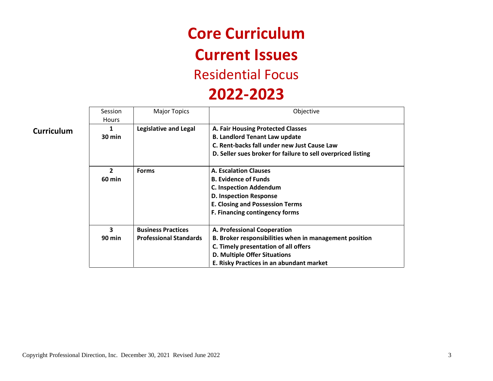## **Core Curriculum Current Issues**

### Residential Focus

### **2022-2023**

|                   | Session<br><b>Hours</b> | <b>Major Topics</b>           | Objective                                                    |
|-------------------|-------------------------|-------------------------------|--------------------------------------------------------------|
| <b>Curriculum</b> | 1                       | <b>Legislative and Legal</b>  | A. Fair Housing Protected Classes                            |
|                   | 30 min                  |                               | <b>B. Landlord Tenant Law update</b>                         |
|                   |                         |                               | C. Rent-backs fall under new Just Cause Law                  |
|                   |                         |                               | D. Seller sues broker for failure to sell overpriced listing |
|                   | $\mathbf{2}$            | <b>Forms</b>                  | A. Escalation Clauses                                        |
|                   | <b>60 min</b>           |                               | <b>B. Evidence of Funds</b>                                  |
|                   |                         |                               | <b>C. Inspection Addendum</b>                                |
|                   |                         |                               | <b>D. Inspection Response</b>                                |
|                   |                         |                               | <b>E. Closing and Possession Terms</b>                       |
|                   |                         |                               | F. Financing contingency forms                               |
|                   | 3                       | <b>Business Practices</b>     | A. Professional Cooperation                                  |
|                   | <b>90 min</b>           | <b>Professional Standards</b> | B. Broker responsibilities when in management position       |
|                   |                         |                               | C. Timely presentation of all offers                         |
|                   |                         |                               | D. Multiple Offer Situations                                 |
|                   |                         |                               | E. Risky Practices in an abundant market                     |

Copyright Professional Direction, Inc. December 30, 2021 Revised June 2022 3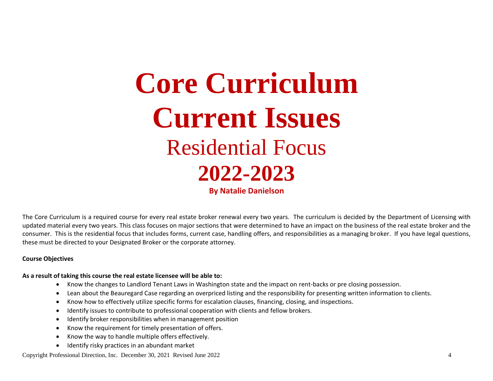# **Core Curriculum Current Issues** Residential Focus **2022-2023 By Natalie Danielson**

The Core Curriculum is a required course for every real estate broker renewal every two years. The curriculum is decided by the Department of Licensing with updated material every two years. This class focuses on major sections that were determined to have an impact on the business of the real estate broker and the consumer. This is the residential focus that includes forms, current case, handling offers, and responsibilities as a managing broker. If you have legal questions,

#### **Course Objectives**

#### **As a result of taking this course the real estate licensee will be able to:**

these must be directed to your Designated Broker or the corporate attorney.

- Know the changes to Landlord Tenant Laws in Washington state and the impact on rent-backs or pre closing possession.
- Lean about the Beauregard Case regarding an overpriced listing and the responsibility for presenting written information to clients.
- Know how to effectively utilize specific forms for escalation clauses, financing, closing, and inspections.
- Identify issues to contribute to professional cooperation with clients and fellow brokers.
- Identify broker responsibilities when in management position
- Know the requirement for timely presentation of offers.
- Know the way to handle multiple offers effectively.
- Identify risky practices in an abundant market

Copyright Professional Direction, Inc. December 30, 2021 Revised June 2022 4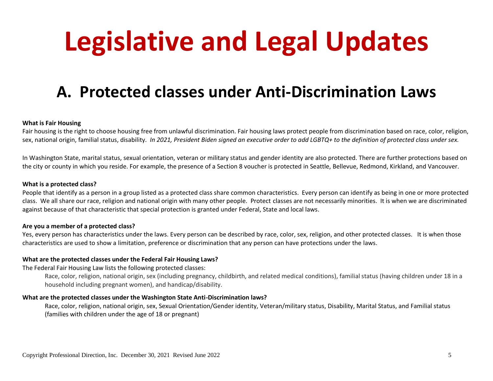# **Legislative and Legal Updates**

### **A. Protected classes under Anti-Discrimination Laws**

#### **What is Fair Housing**

Fair housing is the right to choose housing free from unlawful discrimination. Fair housing laws protect people from discrimination based on race, color, religion, sex, national origin, familial status, disability*. In 2021, President Biden signed an executive order to add LGBTQ+ to the definition of protected class under sex.*

In Washington State, marital status, sexual orientation, veteran or military status and gender identity are also protected. There are further protections based on the city or county in which you reside. For example, the presence of a Section 8 voucher is protected in Seattle, Bellevue, Redmond, Kirkland, and Vancouver.

#### **What is a protected class?**

People that identify as a person in a group listed as a protected class share common characteristics. Every person can identify as being in one or more protected class. We all share our race, religion and national origin with many other people. Protect classes are not necessarily minorities. It is when we are discriminated against because of that characteristic that special protection is granted under Federal, State and local laws.

#### **Are you a member of a protected class?**

Yes, every person has characteristics under the laws. Every person can be described by race, color, sex, religion, and other protected classes. It is when those characteristics are used to show a limitation, preference or discrimination that any person can have protections under the laws.

#### **What are the protected classes under the Federal Fair Housing Laws?**

The Federal Fair Housing Law lists the following protected classes:

Race, color, religion, national origin, sex (including pregnancy, childbirth, and related medical conditions), familial status (having children under 18 in a household including pregnant women), and handicap/disability.

#### **What are the protected classes under the Washington State Anti-Discrimination laws?**

Race, color, religion, national origin, sex, Sexual Orientation/Gender identity, Veteran/military status, Disability, Marital Status, and Familial status (families with children under the age of 18 or pregnant)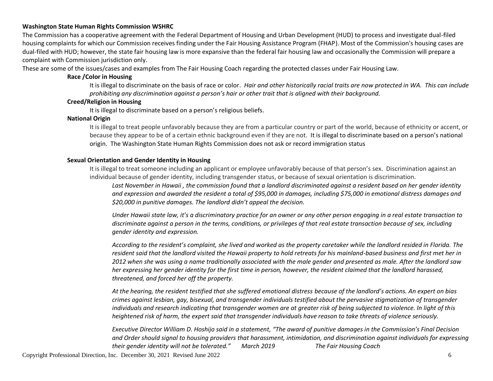#### **Washington State Human Rights Commission WSHRC**

The Commission has a cooperative agreement with the Federal Department of Housing and Urban Development (HUD) to process and investigate dual-filed housing complaints for which our Commission receives finding under the Fair Housing Assistance Program (FHAP). Most of the Commission's housing cases are dual-filed with HUD; however, the state fair housing law is more expansive than the federal fair housing law and occasionally the Commission will prepare a complaint with Commission jurisdiction only.

These are some of the issues/cases and examples from The Fair Housing Coach regarding the protected classes under Fair Housing Law.

#### **Race /Color in Housing**

It is illegal to discriminate on the basis of race or color. *Hair and other historically racial traits are now protected in WA. This can include prohibiting any discrimination against a person's hair or other trait that is aligned with their background.*

#### **Creed/Religion in Housing**

It is illegal to discriminate based on a person's religious beliefs.

#### **National Origin**

It is illegal to treat people unfavorably because they are from a particular country or part of the world, because of ethnicity or accent, or because they appear to be of a certain ethnic background even if they are not. It is illegal to discriminate based on a person's national origin. The Washington State Human Rights Commission does not ask or record immigration status

#### **Sexual Orientation and Gender Identity in Housing**

It is illegal to treat someone including an applicant or employee unfavorably because of that person's sex. Discrimination against an individual because of gender identity, including transgender status, or because of sexual orientation is discrimination.

*Last November in Hawaii , the commission found that a landlord discriminated against a resident based on her gender identity and expression and awarded the resident a total of \$95,000 in damages, including \$75,000 in emotional distress damages and \$20,000 in punitive damages. The landlord didn't appeal the decision.*

*Under Hawaii state law, it's a discriminatory practice for an owner or any other person engaging in a real estate transaction to discriminate against a person in the terms, conditions, or privileges of that real estate transaction because of sex, including gender identity and expression.*

*According to the resident's complaint, she lived and worked as the property caretaker while the landlord resided in Florida. The resident said that the landlord visited the Hawaii property to hold retreats for his mainland-based business and first met her in 2012 when she was using a name traditionally associated with the male gender and presented as male. After the landlord saw her expressing her gender identity for the first time in person, however, the resident claimed that the landlord harassed, threatened, and forced her off the property.*

*At the hearing, the resident testified that she suffered emotional distress because of the landlord's actions. An expert on bias crimes against lesbian, gay, bisexual, and transgender individuals testified about the pervasive stigmatization of transgender individuals and research indicating that transgender women are at greater risk of being subjected to violence. In light of this heightened risk of harm, the expert said that transgender individuals have reason to take threats of violence seriously.*

*Executive Director William D. Hoshijo said in a statement, "The award of punitive damages in the Commission's Final Decision and Order should signal to housing providers that harassment, intimidation, and discrimination against individuals for expressing their gender identity will not be tolerated." March 2019 The Fair Housing Coach*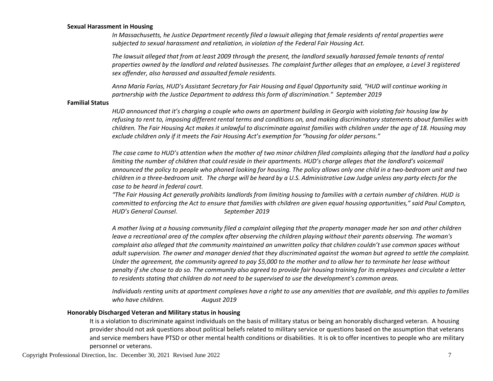#### **Sexual Harassment in Housing**

*In Massachusetts, he Justice Department recently filed a lawsuit alleging that female residents of rental properties were subjected to sexual harassment and retaliation, in violation of the Federal Fair Housing Act.*

*The lawsuit alleged that from at least 2009 through the present, the landlord sexually harassed female tenants of rental properties owned by the landlord and related businesses. The complaint further alleges that an employee, a Level 3 registered sex offender, also harassed and assaulted female residents.*

*Anna María Farías, HUD's Assistant Secretary for Fair Housing and Equal Opportunity said, "HUD will continue working in partnership with the Justice Department to address this form of discrimination." September 2019*

#### **Familial Status**

*HUD announced that it's charging a couple who owns an apartment building in Georgia with violating fair housing law by refusing to rent to, imposing different rental terms and conditions on, and making discriminatory statements about families with children. The Fair Housing Act makes it unlawful to discriminate against families with children under the age of 18. Housing may exclude children only if it meets the Fair Housing Act's exemption for "housing for older persons."*

*The case came to HUD's attention when the mother of two minor children filed complaints alleging that the landlord had a policy limiting the number of children that could reside in their apartments. HUD's charge alleges that the landlord's voicemail announced the policy to people who phoned looking for housing. The policy allows only one child in a two-bedroom unit and two children in a three-bedroom unit. The charge will be heard by a U.S. Administrative Law Judge unless any party elects for the case to be heard in federal court.*

*"The Fair Housing Act generally prohibits landlords from limiting housing to families with a certain number of children. HUD is committed to enforcing the Act to ensure that families with children are given equal housing opportunities," said Paul Compton, HUD's General Counsel. September 2019*

*A mother living at a housing community filed a complaint alleging that the property manager made her son and other children leave a recreational area of the complex after observing the children playing without their parents observing. The woman's complaint also alleged that the community maintained an unwritten policy that children couldn't use common spaces without adult supervision. The owner and manager denied that they discriminated against the woman but agreed to settle the complaint. Under the agreement, the community agreed to pay \$5,000 to the mother and to allow her to terminate her lease without penalty if she chose to do so. The community also agreed to provide fair housing training for its employees and circulate a letter to residents stating that children do not need to be supervised to use the development's common areas.*

*Individuals renting units at apartment complexes have a right to use any amenities that are available, and this applies to families who have children. August 2019*

#### **Honorably Discharged Veteran and Military status in housing**

It is a violation to discriminate against individuals on the basis of military status or being an honorably discharged veteran. A housing provider should not ask questions about political beliefs related to military service or questions based on the assumption that veterans and service members have PTSD or other mental health conditions or disabilities. It is ok to offer incentives to people who are military personnel or veterans.

Copyright Professional Direction, Inc. December 30, 2021 Revised June 2022 7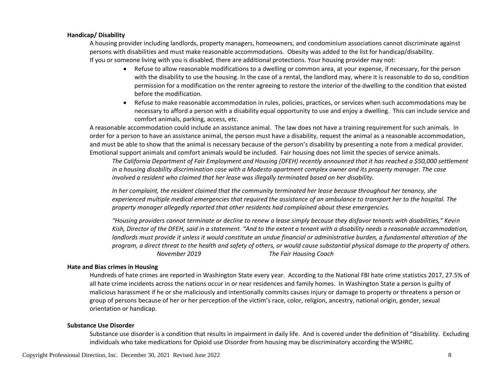#### **Handicap/ Disability**

A housing provider including landlords, property managers, homeowners, and condominium associations cannot discriminate against persons with disabilities and must make reasonable accommodations. Obesity was added to the list for handicap/disability. If you or someone living with you is disabled, there are additional protections. Your housing provider may not:

- Refuse to allow reasonable modifications to a dwelling or common area, at your expense, if necessary, for the person with the disability to use the housing. In the case of a rental, the landlord may, where it is reasonable to do so, condition permission for a modification on the renter agreeing to restore the interior of the dwelling to the condition that existed before the modification.
- Refuse to make reasonable accommodation in rules, policies, practices, or services when such accommodations may be necessary to afford a person with a disability equal opportunity to use and enjoy a dwelling. This can include service and comfort animals, parking, access, etc.

A reasonable accommodation could include an assistance animal. The law does not have a training requirement for such animals. In order for a person to have an assistance animal, the person must have a disability, request the animal as a reasonable accommodation, and must be able to show that the animal is necessary because of the person's disability by presenting a note from a medical provider. Emotional support animals and comfort animals would be included. Fair housing does not limit the species of service animals.

*The California Department of Fair Employment and Housing (DFEH) recently announced that it has reached a \$50,000 settlement in a housing disability discrimination case with a Modesto apartment complex owner and its property manager. The case involved a resident who claimed that her lease was illegally terminated based on her disability.*

*In her complaint, the resident claimed that the community terminated her lease because throughout her tenancy, she experienced multiple medical emergencies that required the assistance of an ambulance to transport her to the hospital. The property manager allegedly reported that other residents had complained about these emergencies.*

*"Housing providers cannot terminate or decline to renew a lease simply because they disfavor tenants with disabilities," Kevin Kish, Director of the DFEH, said in a statement. "And to the extent a tenant with a disability needs a reasonable accommodation, landlords must provide it unless it would constitute an undue financial or administrative burden, a fundamental alteration of the program, a direct threat to the health and safety of others, or would cause substantial physical damage to the property of others. November 2019 The Fair Housing Coach*

#### **Hate and Bias crimes in Housing**

Hundreds of hate crimes are reported in Washington State every year. According to the National FBI hate crime statistics 2017, 27.5% of all hate crime incidents across the nations occur in or near residences and family homes. In Washington State a person is guilty of malicious harassment if he or she maliciously and intentionally commits causes injury or damage to property or threatens a person or group of persons because of her or her perception of the victim's race, color, religion, ancestry, national origin, gender, sexual orientation or handicap.

#### **Substance Use Disorder**

Substance use disorder is a condition that results in impairment in daily life. And is covered under the definition of "disability. Excluding individuals who take medications for Opioid use Disorder from housing may be discriminatory according the WSHRC.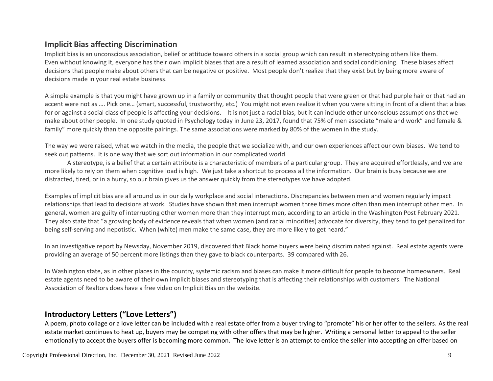#### **Implicit Bias affecting Discrimination**

Implicit bias is an unconscious association, belief or attitude toward others in a social group which can result in stereotyping others like them. Even without knowing it, everyone has their own implicit biases that are a result of learned association and social conditioning. These biases affect decisions that people make about others that can be negative or positive. Most people don't realize that they exist but by being more aware of decisions made in your real estate business.

A simple example is that you might have grown up in a family or community that thought people that were green or that had purple hair or that had an accent were not as …. Pick one… (smart, successful, trustworthy, etc.) You might not even realize it when you were sitting in front of a client that a bias for or against a social class of people is affecting your decisions. It is not just a racial bias, but it can include other unconscious assumptions that we make about other people. In one study quoted in Psychology today in June 23, 2017, found that 75% of men associate "male and work" and female & family" more quickly than the opposite pairings. The same associations were marked by 80% of the women in the study.

The way we were raised, what we watch in the media, the people that we socialize with, and our own experiences affect our own biases. We tend to seek out patterns. It is one way that we sort out information in our complicated world.

A stereotype, is a belief that a certain attribute is a characteristic of members of a particular group. They are acquired effortlessly, and we are more likely to rely on them when cognitive load is high. We just take a shortcut to process all the information. Our brain is busy because we are distracted, tired, or in a hurry, so our brain gives us the answer quickly from the stereotypes we have adopted.

Examples of implicit bias are all around us in our daily workplace and social interactions. Discrepancies between men and women regularly impact relationships that lead to decisions at work. Studies have shown that men interrupt women three times more often than men interrupt other men. In general, women are guilty of interrupting other women more than they interrupt men, according to an article in the Washington Post February 2021. They also state that "a growing body of evidence reveals that when women (and racial minorities) advocate for diversity, they tend to get penalized for being self-serving and nepotistic. When (white) men make the same case, they are more likely to get heard."

In an investigative report by Newsday, November 2019, discovered that Black home buyers were being discriminated against. Real estate agents were providing an average of 50 percent more listings than they gave to black counterparts. 39 compared with 26.

In Washington state, as in other places in the country, systemic racism and biases can make it more difficult for people to become homeowners. Real estate agents need to be aware of their own implicit biases and stereotyping that is affecting their relationships with customers. The National Association of Realtors does have a free video on Implicit Bias on the website.

#### **Introductory Letters ("Love Letters")**

A poem, photo collage or a love letter can be included with a real estate offer from a buyer trying to "promote" his or her offer to the sellers. As the real estate market continues to heat up, buyers may be competing with other offers that may be higher. Writing a personal letter to appeal to the seller emotionally to accept the buyers offer is becoming more common. The love letter is an attempt to entice the seller into accepting an offer based on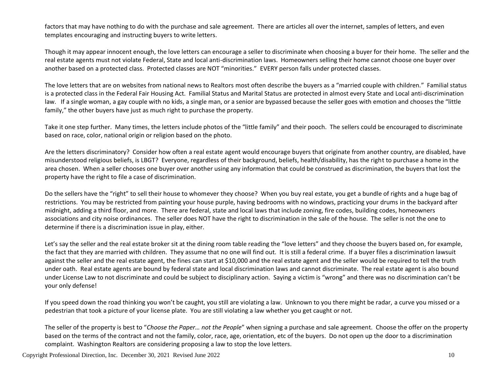factors that may have nothing to do with the purchase and sale agreement. There are articles all over the internet, samples of letters, and even templates encouraging and instructing buyers to write letters.

Though it may appear innocent enough, the love letters can encourage a seller to discriminate when choosing a buyer for their home. The seller and the real estate agents must not violate Federal, State and local anti-discrimination laws. Homeowners selling their home cannot choose one buyer over another based on a protected class. Protected classes are NOT "minorities." EVERY person falls under protected classes.

The love letters that are on websites from national news to Realtors most often describe the buyers as a "married couple with children." Familial status is a protected class in the Federal Fair Housing Act. Familial Status and Marital Status are protected in almost every State and Local anti-discrimination law. If a single woman, a gay couple with no kids, a single man, or a senior are bypassed because the seller goes with emotion and chooses the "little family," the other buyers have just as much right to purchase the property.

Take it one step further. Many times, the letters include photos of the "little family" and their pooch. The sellers could be encouraged to discriminate based on race, color, national origin or religion based on the photo.

Are the letters discriminatory? Consider how often a real estate agent would encourage buyers that originate from another country, are disabled, have misunderstood religious beliefs, is LBGT? Everyone, regardless of their background, beliefs, health/disability, has the right to purchase a home in the area chosen. When a seller chooses one buyer over another using any information that could be construed as discrimination, the buyers that lost the property have the right to file a case of discrimination.

Do the sellers have the "right" to sell their house to whomever they choose? When you buy real estate, you get a bundle of rights and a huge bag of restrictions. You may be restricted from painting your house purple, having bedrooms with no windows, practicing your drums in the backyard after midnight, adding a third floor, and more. There are federal, state and local laws that include zoning, fire codes, building codes, homeowners associations and city noise ordinances. The seller does NOT have the right to discrimination in the sale of the house. The seller is not the one to determine if there is a discrimination issue in play, either.

Let's say the seller and the real estate broker sit at the dining room table reading the "love letters" and they choose the buyers based on, for example, the fact that they are married with children. They assume that no one will find out. It is still a federal crime. If a buyer files a discrimination lawsuit against the seller and the real estate agent, the fines can start at \$10,000 and the real estate agent and the seller would be required to tell the truth under oath. Real estate agents are bound by federal state and local discrimination laws and cannot discriminate. The real estate agent is also bound under License Law to not discriminate and could be subject to disciplinary action. Saying a victim is "wrong" and there was no discrimination can't be your only defense!

If you speed down the road thinking you won't be caught, you still are violating a law. Unknown to you there might be radar, a curve you missed or a pedestrian that took a picture of your license plate. You are still violating a law whether you get caught or not.

The seller of the property is best to "*Choose the Paper… not the People*" when signing a purchase and sale agreement. Choose the offer on the property based on the terms of the contract and not the family, color, race, age, orientation, etc of the buyers. Do not open up the door to a discrimination complaint. Washington Realtors are considering proposing a law to stop the love letters.

Copyright Professional Direction, Inc. December 30, 2021 Revised June 2022 10 and 10 and 10 and 10 and 10 and 10 and 10 and 10 and 10 and 10 and 10 and 10 and 10 and 10 and 10 and 10 and 10 and 10 and 10 and 10 and 10 and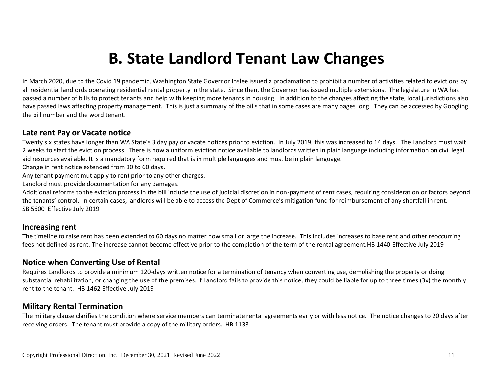### **B. State Landlord Tenant Law Changes**

In March 2020, due to the Covid 19 pandemic, Washington State Governor Inslee issued a proclamation to prohibit a number of activities related to evictions by all residential landlords operating residential rental property in the state. Since then, the Governor has issued multiple extensions. The legislature in WA has passed a number of bills to protect tenants and help with keeping more tenants in housing. In addition to the changes affecting the state, local jurisdictions also have passed laws affecting property management. This is just a summary of the bills that in some cases are many pages long. They can be accessed by Googling the bill number and the word tenant.

#### **Late rent Pay or Vacate notice**

Twenty six states have longer than WA State's 3 day pay or vacate notices prior to eviction. In July 2019, this was increased to 14 days. The Landlord must wait 2 weeks to start the eviction process. There is now a uniform eviction notice available to landlords written in plain language including information on civil legal aid resources available. It is a mandatory form required that is in multiple languages and must be in plain language.

Change in rent notice extended from 30 to 60 days.

Any tenant payment mut apply to rent prior to any other charges.

Landlord must provide documentation for any damages.

Additional reforms to the eviction process in the bill include the use of judicial discretion in non-payment of rent cases, requiring consideration or factors beyond the tenants' control. In certain cases, landlords will be able to access the Dept of Commerce's mitigation fund for reimbursement of any shortfall in rent. SB 5600 Effective July 2019

#### **Increasing rent**

The timeline to raise rent has been extended to 60 days no matter how small or large the increase. This includes increases to base rent and other reoccurring fees not defined as rent. The increase cannot become effective prior to the completion of the term of the rental agreement.HB 1440 Effective July 2019

#### **Notice when Converting Use of Rental**

Requires Landlords to provide a minimum 120-days written notice for a termination of tenancy when converting use, demolishing the property or doing substantial rehabilitation, or changing the use of the premises. If Landlord fails to provide this notice, they could be liable for up to three times (3x) the monthly rent to the tenant. HB 1462 Effective July 2019

#### **Military Rental Termination**

The military clause clarifies the condition where service members can terminate rental agreements early or with less notice. The notice changes to 20 days after receiving orders. The tenant must provide a copy of the military orders. HB 1138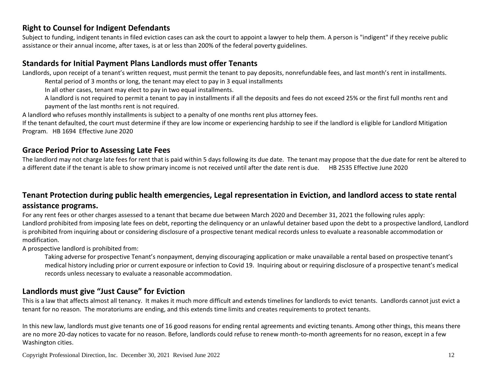#### **Right to Counsel for Indigent Defendants**

Subject to funding, indigent tenants in filed eviction cases can ask the court to appoint a lawyer to help them. A person is "indigent" if they receive public assistance or their annual income, after taxes, is at or less than 200% of the federal poverty guidelines.

#### **Standards for Initial Payment Plans Landlords must offer Tenants**

Landlords, upon receipt of a tenant's written request, must permit the tenant to pay deposits, nonrefundable fees, and last month's rent in installments.

Rental period of 3 months or long, the tenant may elect to pay in 3 equal installments

In all other cases, tenant may elect to pay in two equal installments.

A landlord is not required to permit a tenant to pay in installments if all the deposits and fees do not exceed 25% or the first full months rent and payment of the last months rent is not required.

A landlord who refuses monthly installments is subject to a penalty of one months rent plus attorney fees.

If the tenant defaulted, the court must determine if they are low income or experiencing hardship to see if the landlord is eligible for Landlord Mitigation Program. HB 1694 Effective June 2020

#### **Grace Period Prior to Assessing Late Fees**

The landlord may not charge late fees for rent that is paid within 5 days following its due date. The tenant may propose that the due date for rent be altered to a different date if the tenant is able to show primary income is not received until after the date rent is due. HB 2535 Effective June 2020

### **Tenant Protection during public health emergencies, Legal representation in Eviction, and landlord access to state rental**

#### **assistance programs.**

For any rent fees or other charges assessed to a tenant that became due between March 2020 and December 31, 2021 the following rules apply: Landlord prohibited from imposing late fees on debt, reporting the delinquency or an unlawful detainer based upon the debt to a prospective landlord, Landlord is prohibited from inquiring about or considering disclosure of a prospective tenant medical records unless to evaluate a reasonable accommodation or modification.

A prospective landlord is prohibited from:

Taking adverse for prospective Tenant's nonpayment, denying discouraging application or make unavailable a rental based on prospective tenant's medical history including prior or current exposure or infection to Covid 19. Inquiring about or requiring disclosure of a prospective tenant's medical records unless necessary to evaluate a reasonable accommodation.

#### **Landlords must give "Just Cause" for Eviction**

This is a law that affects almost all tenancy. It makes it much more difficult and extends timelines for landlords to evict tenants. Landlords cannot just evict a tenant for no reason. The moratoriums are ending, and this extends time limits and creates requirements to protect tenants.

In this new law, landlords must give tenants one of 16 good reasons for ending rental agreements and evicting tenants. Among other things, this means there are no more 20-day notices to vacate for no reason. Before, landlords could refuse to renew month-to-month agreements for no reason, except in a few Washington cities.

Copyright Professional Direction, Inc. December 30, 2021 Revised June 2022 12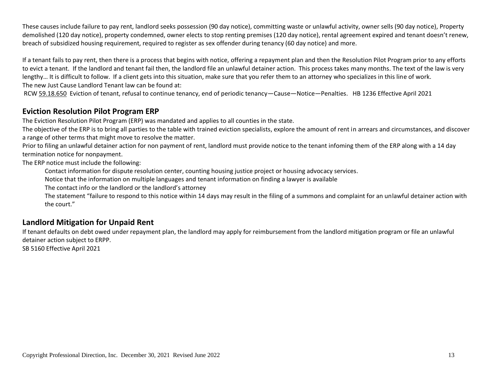These causes include failure to pay rent, landlord seeks possession (90 day notice), committing waste or unlawful activity, owner sells (90 day notice), Property demolished (120 day notice), property condemned, owner elects to stop renting premises (120 day notice), rental agreement expired and tenant doesn't renew, breach of subsidized housing requirement, required to register as sex offender during tenancy (60 day notice) and more.

If a tenant fails to pay rent, then there is a process that begins with notice, offering a repayment plan and then the Resolution Pilot Program prior to any efforts to evict a tenant. If the landlord and tenant fail then, the landlord file an unlawful detainer action. This process takes many months. The text of the law is very lengthy… It is difficult to follow. If a client gets into this situation, make sure that you refer them to an attorney who specializes in this line of work. The new Just Cause Landlord Tenant law can be found at:

RCW [59.18.650](http://app.leg.wa.gov/RCW/default.aspx?cite=59.18.650) Eviction of tenant, refusal to continue tenancy, end of periodic tenancy—Cause—Notice—Penalties. HB 1236 Effective April 2021

#### **Eviction Resolution Pilot Program ERP**

The Eviction Resolution Pilot Program (ERP) was mandated and applies to all counties in the state.

The objective of the ERP is to bring all parties to the table with trained eviction specialists, explore the amount of rent in arrears and circumstances, and discover a range of other terms that might move to resolve the matter.

Prior to filing an unlawful detainer action for non payment of rent, landlord must provide notice to the tenant infoming them of the ERP along with a 14 day termination notice for nonpayment.

The ERP notice must include the following:

Contact information for dispute resolution center, counting housing justice project or housing advocacy services.

Notice that the information on multiple languages and tenant information on finding a lawyer is available

The contact info or the landlord or the landlord's attorney

The statement "failure to respond to this notice within 14 days may result in the filing of a summons and complaint for an unlawful detainer action with the court."

#### **Landlord Mitigation for Unpaid Rent**

If tenant defaults on debt owed under repayment plan, the landlord may apply for reimbursement from the landlord mitigation program or file an unlawful detainer action subject to ERPP.

SB 5160 Effective April 2021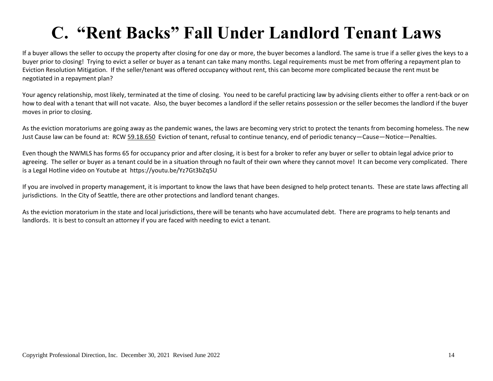### **C. "Rent Backs" Fall Under Landlord Tenant Laws**

If a buyer allows the seller to occupy the property after closing for one day or more, the buyer becomes a landlord. The same is true if a seller gives the keys to a buyer prior to closing! Trying to evict a seller or buyer as a tenant can take many months. Legal requirements must be met from offering a repayment plan to Eviction Resolution Mitigation. If the seller/tenant was offered occupancy without rent, this can become more complicated because the rent must be negotiated in a repayment plan?

Your agency relationship, most likely, terminated at the time of closing. You need to be careful practicing law by advising clients either to offer a rent-back or on how to deal with a tenant that will not vacate. Also, the buyer becomes a landlord if the seller retains possession or the seller becomes the landlord if the buyer moves in prior to closing.

As the eviction moratoriums are going away as the pandemic wanes, the laws are becoming very strict to protect the tenants from becoming homeless. The new Just Cause law can be found at: RCW [59.18.650](http://app.leg.wa.gov/RCW/default.aspx?cite=59.18.650) Eviction of tenant, refusal to continue tenancy, end of periodic tenancy—Cause—Notice—Penalties.

Even though the NWMLS has forms 65 for occupancy prior and after closing, it is best for a broker to refer any buyer or seller to obtain legal advice prior to agreeing. The seller or buyer as a tenant could be in a situation through no fault of their own where they cannot move! It can become very complicated. There is a Legal Hotline video on Youtube at https://youtu.be/Yz7Gt3bZq5U

If you are involved in property management, it is important to know the laws that have been designed to help protect tenants. These are state laws affecting all jurisdictions. In the City of Seattle, there are other protections and landlord tenant changes.

As the eviction moratorium in the state and local jurisdictions, there will be tenants who have accumulated debt. There are programs to help tenants and landlords. It is best to consult an attorney if you are faced with needing to evict a tenant.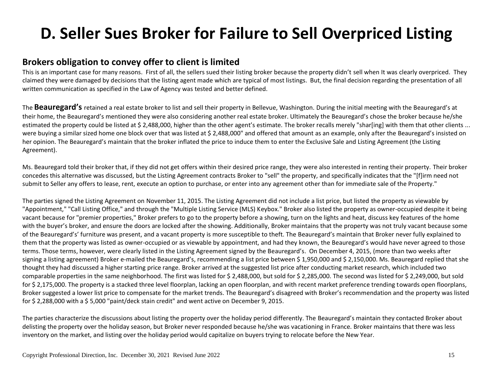### **D. Seller Sues Broker for Failure to Sell Overpriced Listing**

#### **Brokers obligation to convey offer to client is limited**

This is an important case for many reasons. First of all, the sellers sued their listing broker because the property didn't sell when It was clearly overpriced. They claimed they were damaged by decisions that the listing agent made which are typical of most listings. But, the final decision regarding the presentation of all written communication as specified in the Law of Agency was tested and better defined.

The **Beauregard's** retained a real estate broker to list and sell their property in Bellevue, Washington. During the initial meeting with the Beauregard's at their home, the Beauregard's mentioned they were also considering another real estate broker. Ultimately the Beauregard's chose the broker because he/she estimated the property could be listed at \$ 2,488,000, higher than the other agent's estimate. The broker recalls merely "shar[ing] with them that other clients ... were buying a similar sized home one block over that was listed at \$ 2,488,000" and offered that amount as an example, only after the Beauregard's insisted on her opinion. The Beauregard's maintain that the broker inflated the price to induce them to enter the Exclusive Sale and Listing Agreement (the Listing Agreement).

Ms. Beauregard told their broker that, if they did not get offers within their desired price range, they were also interested in renting their property. Their broker concedes this alternative was discussed, but the Listing Agreement contracts Broker to "sell" the property, and specifically indicates that the "[f]irm need not submit to Seller any offers to lease, rent, execute an option to purchase, or enter into any agreement other than for immediate sale of the Property."

The parties signed the Listing Agreement on November 11, 2015. The Listing Agreement did not include a list price, but listed the property as viewable by "Appointment," "Call Listing Office," and through the "Multiple Listing Service (MLS) Keybox." Broker also listed the property as owner-occupied despite it being vacant because for "premier properties," Broker prefers to go to the property before a showing, turn on the lights and heat, discuss key features of the home with the buyer's broker, and ensure the doors are locked after the showing. Additionally, Broker maintains that the property was not truly vacant because some of the Beauregard's' furniture was present, and a vacant property is more susceptible to theft. The Beauregard's maintain that Broker never fully explained to them that the property was listed as owner-occupied or as viewable by appointment, and had they known, the Beauregard's would have never agreed to those terms. Those terms, however, were clearly listed in the Listing Agreement signed by the Beauregard's. On December 4, 2015, (more than two weeks after signing a listing agreement) Broker e-mailed the Beauregard's, recommending a list price between \$ 1,950,000 and \$ 2,150,000. Ms. Beauregard replied that she thought they had discussed a higher starting price range. Broker arrived at the suggested list price after conducting market research, which included two comparable properties in the same neighborhood. The first was listed for \$ 2,488,000, but sold for \$ 2,285,000. The second was listed for \$ 2,249,000, but sold for \$2,175,000. The property is a stacked three level floorplan, lacking an open floorplan, and with recent market preference trending towards open floorplans, Broker suggested a lower list price to compensate for the market trends. The Beauregard's disagreed with Broker's recommendation and the property was listed for \$ 2,288,000 with a \$ 5,000 "paint/deck stain credit" and went active on December 9, 2015.

The parties characterize the discussions about listing the property over the holiday period differently. The Beauregard's maintain they contacted Broker about delisting the property over the holiday season, but Broker never responded because he/she was vacationing in France. Broker maintains that there was less inventory on the market, and listing over the holiday period would capitalize on buyers trying to relocate before the New Year.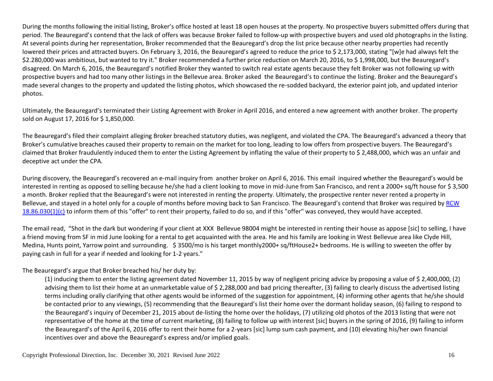During the months following the initial listing, Broker's office hosted at least 18 open houses at the property. No prospective buyers submitted offers during that period. The Beauregard's contend that the lack of offers was because Broker failed to follow-up with prospective buyers and used old photographs in the listing. At several points during her representation, Broker recommended that the Beauregard's drop the list price because other nearby properties had recently lowered their prices and attracted buyers. On February 3, 2016, the Beauregard's agreed to reduce the price to \$ 2,173,000, stating "[w]e had always felt the \$2.280,000 was ambitious, but wanted to try it." Broker recommended a further price reduction on March 20, 2016, to \$ 1,998,000, but the Beauregard's disagreed. On March 6, 2016, the Beauregard's notified Broker they wanted to switch real estate agents because they felt Broker was not following up with prospective buyers and had too many other listings in the Bellevue area. Broker asked the Beauregard's to continue the listing. Broker and the Beauregard's made several changes to the property and updated the listing photos, which showcased the re-sodded backyard, the exterior paint job, and updated interior photos.

Ultimately, the Beauregard's terminated their Listing Agreement with Broker in April 2016, and entered a new agreement with another broker. The property sold on August 17, 2016 for \$1,850,000.

The Beauregard's filed their complaint alleging Broker breached statutory duties, was negligent, and violated the CPA. The Beauregard's advanced a theory that Broker's cumulative breaches caused their property to remain on the market for too long, leading to low offers from prospective buyers. The Beauregard's claimed that Broker fraudulently induced them to enter the Listing Agreement by inflating the value of their property to \$ 2,488,000, which was an unfair and deceptive act under the CPA.

During discovery, the Beauregard's recovered an e-mail inquiry from another broker on April 6, 2016. This email inquired whether the Beauregard's would be interested in renting as opposed to selling because he/she had a client looking to move in mid-June from San Francisco, and rent a 2000+ sq/ft house for \$ 3,500 a month. Broker replied that the Beauregard's were not interested in renting the property. Ultimately, the prospective renter never rented a property in Bellevue, and stayed in a hotel only for a couple of months before moving back to San Francisco. The Beauregard's contend that Broker was required by RCW  $18.86.030(1)(c)$  to inform them of this "offer" to rent their property, failed to do so, and if this "offer" was conveyed, they would have accepted.

The email read, "Shot in the dark but wondering if your client at XXX Bellevue 98004 might be interested in renting their house as appose [sic] to selling, I have a friend moving from SF in mid June looking for a rental to get acquainted with the area. He and his family are looking in West Bellevue area like Clyde Hill, Medina, Hunts point, Yarrow point and surrounding. \$ 3500/mo is his target monthly2000+ sq/ftHouse2+ bedrooms. He is willing to sweeten the offer by paying cash in full for a year if needed and looking for 1-2 years."

#### The Beauregard's argue that Broker breached his/ her duty by:

(1) inducing them to enter the listing agreement dated November 11, 2015 by way of negligent pricing advice by proposing a value of \$ 2,400,000, (2) advising them to list their home at an unmarketable value of \$ 2,288,000 and bad pricing thereafter, (3) failing to clearly discuss the advertised listing terms including orally clarifying that other agents would be informed of the suggestion for appointment, (4) informing other agents that he/she should be contacted prior to any viewings, (5) recommending that the Beauregard's list their home over the dormant holiday season, (6) failing to respond to the Beauregard's inquiry of December 21, 2015 about de-listing the home over the holidays, (7) utilizing old photos of the 2013 listing that were not representative of the home at the time of current marketing, (8) failing to follow up with interest [sic] buyers in the spring of 2016, (9) failing to inform the Beauregard's of the April 6, 2016 offer to rent their home for a 2-years [sic] lump sum cash payment, and (10) elevating his/her own financial incentives over and above the Beauregard's express and/or implied goals.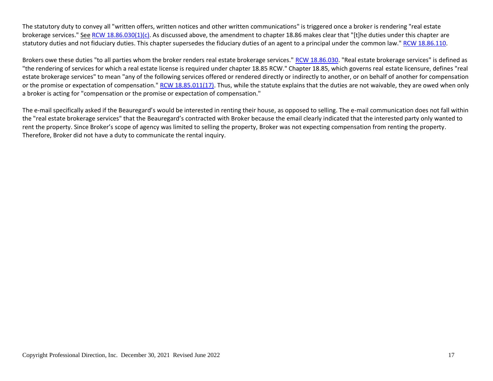The statutory duty to convey all "written offers, written notices and other written communications" is triggered once a broker is rendering "real estate brokerage services." See [RCW 18.86.030\(1\)\(c\).](https://casetext.com/statute/revised-code-of-washington/title-18-businesses-and-professions/chapter-1886-real-estate-brokerage-relationships/section-1886030-duties-of-broker) As discussed above, the amendment to chapter 18.86 makes clear that "[t]he duties under this chapter are statutory duties and not fiduciary duties. This chapter supersedes the fiduciary duties of an agent to a principal under the common law.[" RCW 18.86.110.](https://casetext.com/statute/revised-code-of-washington/title-18-businesses-and-professions/chapter-1886-real-estate-brokerage-relationships/section-1886110-application)

Brokers owe these duties "to all parties whom the broker renders real estate brokerage services." [RCW 18.86.030.](https://casetext.com/statute/revised-code-of-washington/title-18-businesses-and-professions/chapter-1886-real-estate-brokerage-relationships/section-1886030-duties-of-broker) "Real estate brokerage services" is defined as "the rendering of services for which a real estate license is required under chapter 18.85 RCW." Chapter 18.85, which governs real estate licensure, defines "real estate brokerage services" to mean "any of the following services offered or rendered directly or indirectly to another, or on behalf of another for compensation or the promise or expectation of compensation." [RCW 18.85.011\(17\).](https://casetext.com/statute/revised-code-of-washington/title-18-businesses-and-professions/chapter-1885-real-estate-brokers-and-managing-brokers/section-1885011-definitions) Thus, while the statute explains that the duties are not waivable, they are owed when only a broker is acting for "compensation or the promise or expectation of compensation."

The e-mail specifically asked if the Beauregard's would be interested in renting their house, as opposed to selling. The e-mail communication does not fall within the "real estate brokerage services" that the Beauregard's contracted with Broker because the email clearly indicated that the interested party only wanted to rent the property. Since Broker's scope of agency was limited to selling the property, Broker was not expecting compensation from renting the property. Therefore, Broker did not have a duty to communicate the rental inquiry.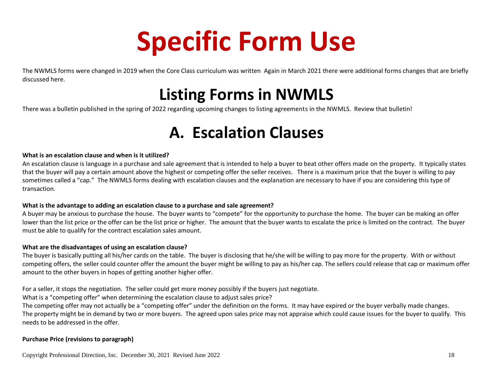# **Specific Form Use**

The NWMLS forms were changed in 2019 when the Core Class curriculum was written Again in March 2021 there were additional forms changes that are briefly discussed here.

### **Listing Forms in NWMLS**

There was a bulletin published in the spring of 2022 regarding upcoming changes to listing agreements in the NWMLS. Review that bulletin!

### **A. Escalation Clauses**

#### **What is an escalation clause and when is it utilized?**

An escalation clause is language in a purchase and sale agreement that is intended to help a buyer to beat other offers made on the property. It typically states that the buyer will pay a certain amount above the highest or competing offer the seller receives. There is a maximum price that the buyer is willing to pay sometimes called a "cap." The NWMLS forms dealing with escalation clauses and the explanation are necessary to have if you are considering this type of transaction.

#### **What is the advantage to adding an escalation clause to a purchase and sale agreement?**

A buyer may be anxious to purchase the house. The buyer wants to "compete" for the opportunity to purchase the home. The buyer can be making an offer lower than the list price or the offer can be the list price or higher. The amount that the buyer wants to escalate the price is limited on the contract. The buyer must be able to qualify for the contract escalation sales amount.

#### **What are the disadvantages of using an escalation clause?**

The buyer is basically putting all his/her cards on the table. The buyer is disclosing that he/she will be willing to pay more for the property. With or without competing offers, the seller could counter offer the amount the buyer might be willing to pay as his/her cap. The sellers could release that cap or maximum offer amount to the other buyers in hopes of getting another higher offer.

For a seller, it stops the negotiation. The seller could get more money possibly if the buyers just negotiate.

What is a "competing offer" when determining the escalation clause to adjust sales price?

The competing offer may not actually be a "competing offer" under the definition on the forms. It may have expired or the buyer verbally made changes. The property might be in demand by two or more buyers. The agreed upon sales price may not appraise which could cause issues for the buyer to qualify. This needs to be addressed in the offer.

#### **Purchase Price (revisions to paragraph)**

Copyright Professional Direction, Inc. December 30, 2021 Revised June 2022 18 18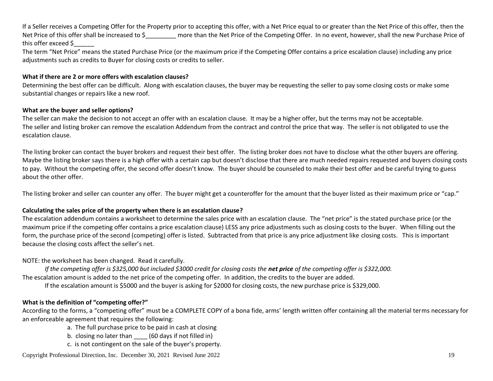If a Seller receives a Competing Offer for the Property prior to accepting this offer, with a Net Price equal to or greater than the Net Price of this offer, then the Net Price of this offer shall be increased to \$\_\_\_\_\_\_\_\_\_\_ more than the Net Price of the Competing Offer. In no event, however, shall the new Purchase Price of this offer exceed \$\_\_\_\_\_\_

The term "Net Price" means the stated Purchase Price (or the maximum price if the Competing Offer contains a price escalation clause) including any price adjustments such as credits to Buyer for closing costs or credits to seller.

#### **What if there are 2 or more offers with escalation clauses?**

Determining the best offer can be difficult. Along with escalation clauses, the buyer may be requesting the seller to pay some closing costs or make some substantial changes or repairs like a new roof.

#### **What are the buyer and seller options?**

The seller can make the decision to not accept an offer with an escalation clause. It may be a higher offer, but the terms may not be acceptable. The seller and listing broker can remove the escalation Addendum from the contract and control the price that way. The seller is not obligated to use the escalation clause.

The listing broker can contact the buyer brokers and request their best offer. The listing broker does not have to disclose what the other buyers are offering. Maybe the listing broker says there is a high offer with a certain cap but doesn't disclose that there are much needed repairs requested and buyers closing costs to pay. Without the competing offer, the second offer doesn't know. The buyer should be counseled to make their best offer and be careful trying to guess about the other offer.

The listing broker and seller can counter any offer. The buyer might get a counteroffer for the amount that the buyer listed as their maximum price or "cap."

#### **Calculating the sales price of the property when there is an escalation clause?**

The escalation addendum contains a worksheet to determine the sales price with an escalation clause. The "net price" is the stated purchase price (or the maximum price if the competing offer contains a price escalation clause) LESS any price adjustments such as closing costs to the buyer. When filling out the form, the purchase price of the second (competing) offer is listed. Subtracted from that price is any price adjustment like closing costs. This is important because the closing costs affect the seller's net.

NOTE: the worksheet has been changed. Read it carefully.

*If the competing offer is \$325,000 but included \$3000 credit for closing costs the net price of the competing offer is \$322,000.* 

The escalation amount is added to the net price of the competing offer. In addition, the credits to the buyer are added.

If the escalation amount is \$5000 and the buyer is asking for \$2000 for closing costs, the new purchase price is \$329,000.

#### **What is the definition of "competing offer?"**

According to the forms, a "competing offer" must be a COMPLETE COPY of a bona fide, arms' length written offer containing all the material terms necessary for an enforceable agreement that requires the following:

a. The full purchase price to be paid in cash at closing

- b. closing no later than (60 days if not filled in)
- c. is not contingent on the sale of the buyer's property.

Copyright Professional Direction, Inc. December 30, 2021 Revised June 2022 19 19 19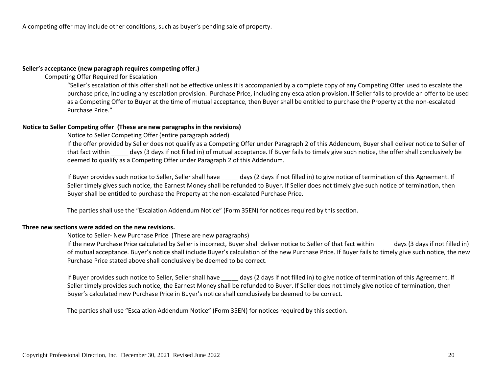A competing offer may include other conditions, such as buyer's pending sale of property.

#### **Seller's acceptance (new paragraph requires competing offer.)**

Competing Offer Required for Escalation

"Seller's escalation of this offer shall not be effective unless it is accompanied by a complete copy of any Competing Offer used to escalate the purchase price, including any escalation provision. Purchase Price, including any escalation provision. If Seller fails to provide an offer to be used as a Competing Offer to Buyer at the time of mutual acceptance, then Buyer shall be entitled to purchase the Property at the non-escalated Purchase Price."

#### **Notice to Seller Competing offer (These are new paragraphs in the revisions)**

Notice to Seller Competing Offer (entire paragraph added)

If the offer provided by Seller does not qualify as a Competing Offer under Paragraph 2 of this Addendum, Buyer shall deliver notice to Seller of that fact within days (3 days if not filled in) of mutual acceptance. If Buyer fails to timely give such notice, the offer shall conclusively be deemed to qualify as a Competing Offer under Paragraph 2 of this Addendum.

If Buyer provides such notice to Seller, Seller shall have \_\_\_\_\_ days (2 days if not filled in) to give notice of termination of this Agreement. If Seller timely gives such notice, the Earnest Money shall be refunded to Buyer. If Seller does not timely give such notice of termination, then Buyer shall be entitled to purchase the Property at the non-escalated Purchase Price.

The parties shall use the "Escalation Addendum Notice" (Form 35EN) for notices required by this section.

#### **Three new sections were added on the new revisions.**

Notice to Seller- New Purchase Price (These are new paragraphs)

If the new Purchase Price calculated by Seller is incorrect, Buyer shall deliver notice to Seller of that fact within days (3 days if not filled in) of mutual acceptance. Buyer's notice shall include Buyer's calculation of the new Purchase Price. If Buyer fails to timely give such notice, the new Purchase Price stated above shall conclusively be deemed to be correct.

If Buyer provides such notice to Seller, Seller shall have days (2 days if not filled in) to give notice of termination of this Agreement. If Seller timely provides such notice, the Earnest Money shall be refunded to Buyer. If Seller does not timely give notice of termination, then Buyer's calculated new Purchase Price in Buyer's notice shall conclusively be deemed to be correct.

The parties shall use "Escalation Addendum Notice" (Form 35EN) for notices required by this section.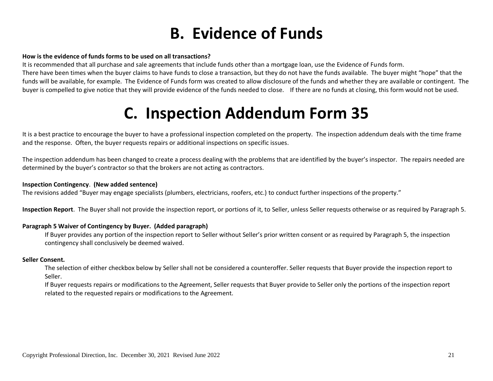### **B. Evidence of Funds**

#### **How is the evidence of funds forms to be used on all transactions?**

It is recommended that all purchase and sale agreements that include funds other than a mortgage loan, use the Evidence of Funds form.

There have been times when the buyer claims to have funds to close a transaction, but they do not have the funds available. The buyer might "hope" that the funds will be available, for example. The Evidence of Funds form was created to allow disclosure of the funds and whether they are available or contingent. The buyer is compelled to give notice that they will provide evidence of the funds needed to close. If there are no funds at closing, this form would not be used.

### **C. Inspection Addendum Form 35**

It is a best practice to encourage the buyer to have a professional inspection completed on the property. The inspection addendum deals with the time frame and the response. Often, the buyer requests repairs or additional inspections on specific issues.

The inspection addendum has been changed to create a process dealing with the problems that are identified by the buyer's inspector. The repairs needed are determined by the buyer's contractor so that the brokers are not acting as contractors.

#### **Inspection Contingency**. **(New added sentence)**

The revisions added "Buyer may engage specialists (plumbers, electricians, roofers, etc.) to conduct further inspections of the property."

**Inspection Report**. The Buyer shall not provide the inspection report, or portions of it, to Seller, unless Seller requests otherwise or as required by Paragraph 5.

#### **Paragraph 5 Waiver of Contingency by Buyer. (Added paragraph)**

If Buyer provides any portion of the inspection report to Seller without Seller's prior written consent or as required by Paragraph 5, the inspection contingency shall conclusively be deemed waived.

#### **Seller Consent.**

The selection of either checkbox below by Seller shall not be considered a counteroffer. Seller requests that Buyer provide the inspection report to Seller.

If Buyer requests repairs or modifications to the Agreement, Seller requests that Buyer provide to Seller only the portions of the inspection report related to the requested repairs or modifications to the Agreement.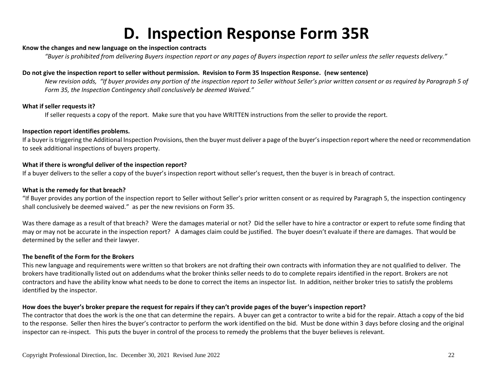### **D. Inspection Response Form 35R**

#### **Know the changes and new language on the inspection contracts**

*"Buyer is prohibited from delivering Buyers inspection report or any pages of Buyers inspection report to seller unless the seller requests delivery."*

#### **Do not give the inspection report to seller without permission. Revision to Form 35 Inspection Response. (new sentence)**

*New revision adds, "If buyer provides any portion of the inspection report to Seller without Seller's prior written consent or as required by Paragraph 5 of Form 35, the Inspection Contingency shall conclusively be deemed Waived."*

#### **What if seller requests it?**

If seller requests a copy of the report. Make sure that you have WRITTEN instructions from the seller to provide the report.

#### **Inspection report identifies problems.**

If a buyer is triggering the Additional Inspection Provisions, then the buyer must deliver a page of the buyer's inspection report where the need or recommendation to seek additional inspections of buyers property.

#### **What if there is wrongful deliver of the inspection report?**

If a buyer delivers to the seller a copy of the buyer's inspection report without seller's request, then the buyer is in breach of contract.

#### **What is the remedy for that breach?**

"If Buyer provides any portion of the inspection report to Seller without Seller's prior written consent or as required by Paragraph 5, the inspection contingency shall conclusively be deemed waived." as per the new revisions on Form 35.

Was there damage as a result of that breach? Were the damages material or not? Did the seller have to hire a contractor or expert to refute some finding that may or may not be accurate in the inspection report? A damages claim could be justified. The buyer doesn't evaluate if there are damages. That would be determined by the seller and their lawyer.

#### **The benefit of the Form for the Brokers**

This new language and requirements were written so that brokers are not drafting their own contracts with information they are not qualified to deliver. The brokers have traditionally listed out on addendums what the broker thinks seller needs to do to complete repairs identified in the report. Brokers are not contractors and have the ability know what needs to be done to correct the items an inspector list. In addition, neither broker tries to satisfy the problems identified by the inspector.

#### **How does the buyer's broker prepare the request for repairs if they can't provide pages of the buyer's inspection report?**

The contractor that does the work is the one that can determine the repairs. A buyer can get a contractor to write a bid for the repair. Attach a copy of the bid to the response. Seller then hires the buyer's contractor to perform the work identified on the bid. Must be done within 3 days before closing and the original inspector can re-inspect. This puts the buyer in control of the process to remedy the problems that the buyer believes is relevant.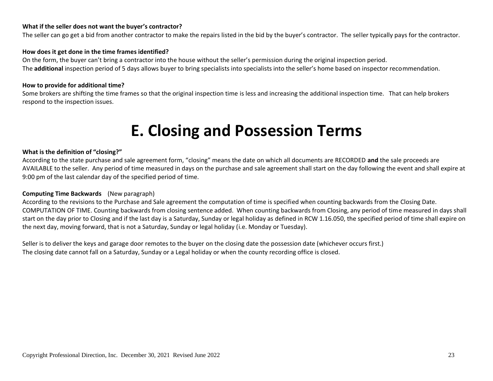#### **What if the seller does not want the buyer's contractor?**

The seller can go get a bid from another contractor to make the repairs listed in the bid by the buyer's contractor. The seller typically pays for the contractor.

#### **How does it get done in the time frames identified?**

On the form, the buyer can't bring a contractor into the house without the seller's permission during the original inspection period. The **additional** inspection period of 5 days allows buyer to bring specialists into specialists into the seller's home based on inspector recommendation.

#### **How to provide for additional time?**

Some brokers are shifting the time frames so that the original inspection time is less and increasing the additional inspection time. That can help brokers respond to the inspection issues.

### **E. Closing and Possession Terms**

#### **What is the definition of "closing?"**

According to the state purchase and sale agreement form, "closing" means the date on which all documents are RECORDED **and** the sale proceeds are AVAILABLE to the seller. Any period of time measured in days on the purchase and sale agreement shall start on the day following the event and shall expire at 9:00 pm of the last calendar day of the specified period of time.

#### **Computing Time Backwards** (New paragraph)

According to the revisions to the Purchase and Sale agreement the computation of time is specified when counting backwards from the Closing Date. COMPUTATION OF TIME. Counting backwards from closing sentence added. When counting backwards from Closing, any period of time measured in days shall start on the day prior to Closing and if the last day is a Saturday, Sunday or legal holiday as defined in RCW 1.16.050, the specified period of time shall expire on the next day, moving forward, that is not a Saturday, Sunday or legal holiday (i.e. Monday or Tuesday).

Seller is to deliver the keys and garage door remotes to the buyer on the closing date the possession date (whichever occurs first.) The closing date cannot fall on a Saturday, Sunday or a Legal holiday or when the county recording office is closed.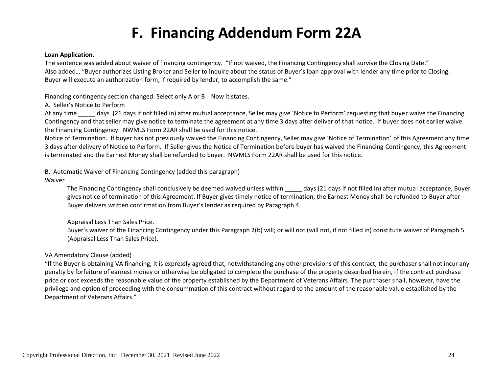### **F. Financing Addendum Form 22A**

#### **Loan Application.**

The sentence was added about waiver of financing contingency. "If not waived, the Financing Contingency shall survive the Closing Date." Also added… "Buyer authorizes Listing Broker and Seller to inquire about the status of Buyer's loan approval with lender any time prior to Closing. Buyer will execute an authorization form, if required by lender, to accomplish the same."

Financing contingency section changed. Select only A or B Now it states.

#### A. Seller's Notice to Perform

At any time days (21 days if not filled in) after mutual acceptance, Seller may give 'Notice to Perform' requesting that buyer waive the Financing Contingency and that seller may give notice to terminate the agreement at any time 3 days after deliver of that notice. If buyer does not earlier waive the Financing Contingency. NWMLS Form 22AR shall be used for this notice.

Notice of Termination. If buyer has not previously waived the Financing Contingency, Seller may give 'Notice of Termination' of this Agreement any time 3 days after delivery of Notice to Perform. If Seller gives the Notice of Termination before buyer has waived the Financing Contingency, this Agreement is terminated and the Earnest Money shall be refunded to buyer. NWMLS Form 22AR shall be used for this notice.

#### B. Automatic Waiver of Financing Contingency (added this paragraph)

#### Waiver

The Financing Contingency shall conclusively be deemed waived unless within \_\_\_\_\_ days (21 days if not filled in) after mutual acceptance, Buyer gives notice of termination of this Agreement. If Buyer gives timely notice of termination, the Earnest Money shall be refunded to Buyer after Buyer delivers written confirmation from Buyer's lender as required by Paragraph 4.

#### Appraisal Less Than Sales Price.

Buyer's waiver of the Financing Contingency under this Paragraph 2(b) will; or will not (will not, if not filled in) constitute waiver of Paragraph 5 (Appraisal Less Than Sales Price).

#### VA Amendatory Clause (added)

"If the Buyer is obtaining VA financing, it is expressly agreed that, notwithstanding any other provisions of this contract, the purchaser shall not incur any penalty by forfeiture of earnest money or otherwise be obligated to complete the purchase of the property described herein, if the contract purchase price or cost exceeds the reasonable value of the property established by the Department of Veterans Affairs. The purchaser shall, however, have the privilege and option of proceeding with the consummation of this contract without regard to the amount of the reasonable value established by the Department of Veterans Affairs."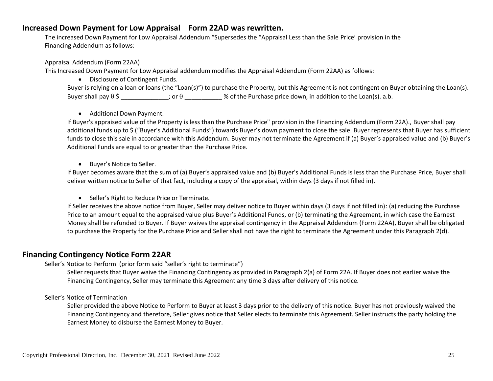#### **Increased Down Payment for Low Appraisal Form 22AD was rewritten.**

The increased Down Payment for Low Appraisal Addendum "Supersedes the "Appraisal Less than the Sale Price' provision in the Financing Addendum as follows:

Appraisal Addendum (Form 22AA)

This Increased Down Payment for Low Appraisal addendum modifies the Appraisal Addendum (Form 22AA) as follows:

• Disclosure of Contingent Funds.

Buyer is relying on a loan or loans (the "Loan(s)") to purchase the Property, but this Agreement is not contingent on Buyer obtaining the Loan(s). Buyer shall pay  $\theta \xi$  \_\_\_\_\_\_\_\_\_\_; or  $\theta$  \_\_\_\_\_\_\_\_\_\_ % of the Purchase price down, in addition to the Loan(s). a.b.

• Additional Down Payment.

If Buyer's appraised value of the Property is less than the Purchase Price" provision in the Financing Addendum (Form 22A)., Buyer shall pay additional funds up to \$ ("Buyer's Additional Funds") towards Buyer's down payment to close the sale. Buyer represents that Buyer has sufficient funds to close this sale in accordance with this Addendum. Buyer may not terminate the Agreement if (a) Buyer's appraised value and (b) Buyer's Additional Funds are equal to or greater than the Purchase Price.

• Buyer's Notice to Seller.

If Buyer becomes aware that the sum of (a) Buyer's appraised value and (b) Buyer's Additional Funds is less than the Purchase Price, Buyer shall deliver written notice to Seller of that fact, including a copy of the appraisal, within days (3 days if not filled in).

• Seller's Right to Reduce Price or Terminate.

If Seller receives the above notice from Buyer, Seller may deliver notice to Buyer within days (3 days if not filled in): (a) reducing the Purchase Price to an amount equal to the appraised value plus Buyer's Additional Funds, or (b) terminating the Agreement, in which case the Earnest Money shall be refunded to Buyer. If Buyer waives the appraisal contingency in the Appraisal Addendum (Form 22AA), Buyer shall be obligated to purchase the Property for the Purchase Price and Seller shall not have the right to terminate the Agreement under this Paragraph 2(d).

#### **Financing Contingency Notice Form 22AR**

#### Seller's Notice to Perform (prior form said "seller's right to terminate")

Seller requests that Buyer waive the Financing Contingency as provided in Paragraph 2(a) of Form 22A. If Buyer does not earlier waive the Financing Contingency, Seller may terminate this Agreement any time 3 days after delivery of this notice.

Seller's Notice of Termination

Seller provided the above Notice to Perform to Buyer at least 3 days prior to the delivery of this notice. Buyer has not previously waived the Financing Contingency and therefore, Seller gives notice that Seller elects to terminate this Agreement. Seller instructs the party holding the Earnest Money to disburse the Earnest Money to Buyer.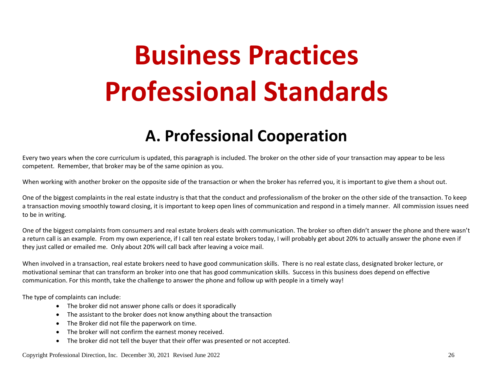# **Business Practices Professional Standards**

### **A. Professional Cooperation**

Every two years when the core curriculum is updated, this paragraph is included. The broker on the other side of your transaction may appear to be less competent. Remember, that broker may be of the same opinion as you.

When working with another broker on the opposite side of the transaction or when the broker has referred you, it is important to give them a shout out.

One of the biggest complaints in the real estate industry is that that the conduct and professionalism of the broker on the other side of the transaction. To keep a transaction moving smoothly toward closing, it is important to keep open lines of communication and respond in a timely manner. All commission issues need to be in writing.

One of the biggest complaints from consumers and real estate brokers deals with communication. The broker so often didn't answer the phone and there wasn't a return call is an example. From my own experience, if I call ten real estate brokers today, I will probably get about 20% to actually answer the phone even if they just called or emailed me. Only about 20% will call back after leaving a voice mail.

When involved in a transaction, real estate brokers need to have good communication skills. There is no real estate class, designated broker lecture, or motivational seminar that can transform an broker into one that has good communication skills. Success in this business does depend on effective communication. For this month, take the challenge to answer the phone and follow up with people in a timely way!

The type of complaints can include:

- The broker did not answer phone calls or does it sporadically
- The assistant to the broker does not know anything about the transaction
- The Broker did not file the paperwork on time.
- The broker will not confirm the earnest money received.
- The broker did not tell the buyer that their offer was presented or not accepted.

Copyright Professional Direction, Inc. December 30, 2021 Revised June 2022 26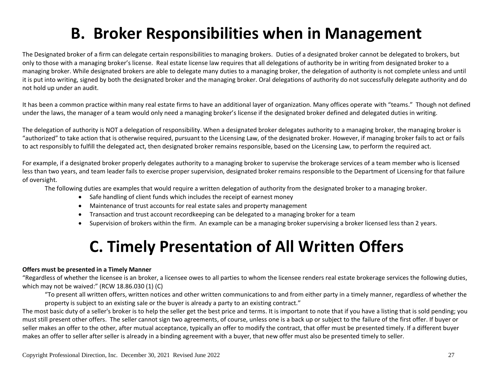### **B. Broker Responsibilities when in Management**

The Designated broker of a firm can delegate certain responsibilities to managing brokers. Duties of a designated broker cannot be delegated to brokers, but only to those with a managing broker's license. Real estate license law requires that all delegations of authority be in writing from designated broker to a managing broker. While designated brokers are able to delegate many duties to a managing broker, the delegation of authority is not complete unless and until it is put into writing, signed by both the designated broker and the managing broker. Oral delegations of authority do not successfully delegate authority and do not hold up under an audit.

It has been a common practice within many real estate firms to have an additional layer of organization. Many offices operate with "teams." Though not defined under the laws, the manager of a team would only need a managing broker's license if the designated broker defined and delegated duties in writing.

The delegation of authority is NOT a delegation of responsibility. When a designated broker delegates authority to a managing broker, the managing broker is "authorized" to take action that is otherwise required, pursuant to the Licensing Law, of the designated broker. However, if managing broker fails to act or fails to act responsibly to fulfill the delegated act, then designated broker remains responsible, based on the Licensing Law, to perform the required act.

For example, if a designated broker properly delegates authority to a managing broker to supervise the brokerage services of a team member who is licensed less than two years, and team leader fails to exercise proper supervision, designated broker remains responsible to the Department of Licensing for that failure of oversight.

The following duties are examples that would require a written delegation of authority from the designated broker to a managing broker.

- Safe handling of client funds which includes the receipt of earnest money
- Maintenance of trust accounts for real estate sales and property management
- Transaction and trust account recordkeeping can be delegated to a managing broker for a team
- Supervision of brokers within the firm. An example can be a managing broker supervising a broker licensed less than 2 years.

### **C. Timely Presentation of All Written Offers**

#### **Offers must be presented in a Timely Manner**

"Regardless of whether the licensee is an broker, a licensee owes to all parties to whom the licensee renders real estate brokerage services the following duties, which may not be waived:" (RCW 18.86.030 (1) (C)

"To present all written offers, written notices and other written communications to and from either party in a timely manner, regardless of whether the property is subject to an existing sale or the buyer is already a party to an existing contract."

The most basic duty of a seller's broker is to help the seller get the best price and terms. It is important to note that if you have a listing that is sold pending; you must still present other offers. The seller cannot sign two agreements, of course, unless one is a back up or subject to the failure of the first offer. If buyer or seller makes an offer to the other, after mutual acceptance, typically an offer to modify the contract, that offer must be presented timely. If a different buyer makes an offer to seller after seller is already in a binding agreement with a buyer, that new offer must also be presented timely to seller.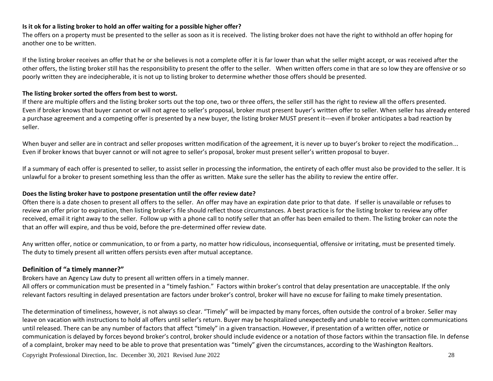#### **Is it ok for a listing broker to hold an offer waiting for a possible higher offer?**

The offers on a property must be presented to the seller as soon as it is received. The listing broker does not have the right to withhold an offer hoping for another one to be written.

If the listing broker receives an offer that he or she believes is not a complete offer it is far lower than what the seller might accept, or was received after the other offers, the listing broker still has the responsibility to present the offer to the seller. When written offers come in that are so low they are offensive or so poorly written they are indecipherable, it is not up to listing broker to determine whether those offers should be presented.

#### **The listing broker sorted the offers from best to worst.**

If there are multiple offers and the listing broker sorts out the top one, two or three offers, the seller still has the right to review all the offers presented. Even if broker knows that buyer cannot or will not agree to seller's proposal, broker must present buyer's written offer to seller. When seller has already entered a purchase agreement and a competing offer is presented by a new buyer, the listing broker MUST present it---even if broker anticipates a bad reaction by seller.

When buyer and seller are in contract and seller proposes written modification of the agreement, it is never up to buyer's broker to reject the modification... Even if broker knows that buyer cannot or will not agree to seller's proposal, broker must present seller's written proposal to buyer.

If a summary of each offer is presented to seller, to assist seller in processing the information, the entirety of each offer must also be provided to the seller. It is unlawful for a broker to present something less than the offer as written. Make sure the seller has the ability to review the entire offer.

#### **Does the listing broker have to postpone presentation until the offer review date?**

Often there is a date chosen to present all offers to the seller. An offer may have an expiration date prior to that date. If seller is unavailable or refuses to review an offer prior to expiration, then listing broker's file should reflect those circumstances. A best practice is for the listing broker to review any offer received, email it right away to the seller. Follow up with a phone call to notify seller that an offer has been emailed to them. The listing broker can note the that an offer will expire, and thus be void, before the pre-determined offer review date.

Any written offer, notice or communication, to or from a party, no matter how ridiculous, inconsequential, offensive or irritating, must be presented timely. The duty to timely present all written offers persists even after mutual acceptance.

#### **Definition of "a timely manner?"**

Brokers have an Agency Law duty to present all written offers in a timely manner.

All offers or communication must be presented in a "timely fashion." Factors within broker's control that delay presentation are unacceptable. If the only relevant factors resulting in delayed presentation are factors under broker's control, broker will have no excuse for failing to make timely presentation.

Copyright Professional Direction, Inc. December 30, 2021 Revised June 2022 28 The determination of timeliness, however, is not always so clear. "Timely" will be impacted by many forces, often outside the control of a broker. Seller may leave on vacation with instructions to hold all offers until seller's return. Buyer may be hospitalized unexpectedly and unable to receive written communications until released. There can be any number of factors that affect "timely" in a given transaction. However, if presentation of a written offer, notice or communication is delayed by forces beyond broker's control, broker should include evidence or a notation of those factors within the transaction file. In defense of a complaint, broker may need to be able to prove that presentation was "timely" given the circumstances, according to the Washington Realtors.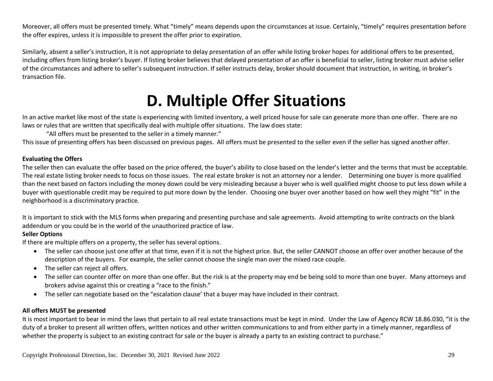Moreover, all offers must be presented timely. What "timely" means depends upon the circumstances at issue. Certainly, "timely" requires presentation before the offer expires, unless it is impossible to present the offer prior to expiration.

Similarly, absent a seller's instruction, it is not appropriate to delay presentation of an offer while listing broker hopes for additional offers to be presented, including offers from listing broker's buyer. If listing broker believes that delayed presentation of an offer is beneficial to seller, listing broker must advise seller of the circumstances and adhere to seller's subsequent instruction. If seller instructs delay, broker should document that instruction, in writing, in broker's transaction file.

### **D. Multiple Offer Situations**

In an active market like most of the state is experiencing with limited inventory, a well priced house for sale can generate more than one offer. There are no laws or rules that are written that specifically deal with multiple offer situations. The law does state:

"All offers must be presented to the seller in a timely manner."

This issue of presenting offers has been discussed on previous pages. All offers must be presented to the seller even if the seller has signed another offer.

#### **Evaluating the Offers**

The seller then can evaluate the offer based on the price offered, the buyer's ability to close based on the lender's letter and the terms that must be acceptable. The real estate listing broker needs to focus on those issues. The real estate broker is not an attorney nor a lender. Determining one buyer is more qualified than the next based on factors including the money down could be very misleading because a buyer who is well qualified might choose to put less down while a buyer with questionable credit may be required to put more down by the lender. Choosing one buyer over another based on how well they might "fit" in the neighborhood is a discriminatory practice.

It is important to stick with the MLS forms when preparing and presenting purchase and sale agreements. Avoid attempting to write contracts on the blank addendum or you could be in the world of the unauthorized practice of law.

#### **Seller Options**

If there are multiple offers on a property, the seller has several options.

- The seller can choose just one offer at that time, even if it is not the highest price. But, the seller CANNOT choose an offer over another because of the description of the buyers. For example, the seller cannot choose the single man over the mixed race couple.
- The seller can reject all offers.
- The seller can counter offer on more than one offer. But the risk is at the property may end be being sold to more than one buyer. Many attorneys and brokers advise against this or creating a "race to the finish."
- The seller can negotiate based on the "escalation clause' that a buyer may have included in their contract.

#### **All offers MUST be presented**

It is most important to bear in mind the laws that pertain to all real estate transactions must be kept in mind. Under the Law of Agency RCW 18.86.030, "it is the duty of a broker to present all written offers, written notices and other written communications to and from either party in a timely manner, regardless of whether the property is subject to an existing contract for sale or the buyer is already a party to an existing contract to purchase."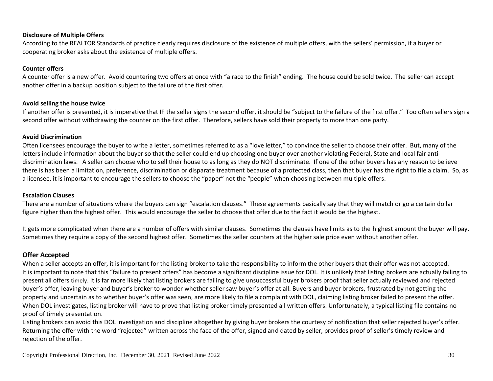#### **Disclosure of Multiple Offers**

According to the REALTOR Standards of practice clearly requires disclosure of the existence of multiple offers, with the sellers' permission, if a buyer or cooperating broker asks about the existence of multiple offers.

#### **Counter offers**

A counter offer is a new offer. Avoid countering two offers at once with "a race to the finish" ending. The house could be sold twice. The seller can accept another offer in a backup position subject to the failure of the first offer.

#### **Avoid selling the house twice**

If another offer is presented, it is imperative that IF the seller signs the second offer, it should be "subject to the failure of the first offer." Too often sellers sign a second offer without withdrawing the counter on the first offer. Therefore, sellers have sold their property to more than one party.

#### **Avoid Discrimination**

Often licensees encourage the buyer to write a letter, sometimes referred to as a "love letter," to convince the seller to choose their offer. But, many of the letters include information about the buyer so that the seller could end up choosing one buyer over another violating Federal, State and local fair antidiscrimination laws. A seller can choose who to sell their house to as long as they do NOT discriminate. If one of the other buyers has any reason to believe there is has been a limitation, preference, discrimination or disparate treatment because of a protected class, then that buyer has the right to file a claim. So, as a licensee, it is important to encourage the sellers to choose the "paper" not the "people" when choosing between multiple offers.

#### **Escalation Clauses**

There are a number of situations where the buyers can sign "escalation clauses." These agreements basically say that they will match or go a certain dollar figure higher than the highest offer. This would encourage the seller to choose that offer due to the fact it would be the highest.

It gets more complicated when there are a number of offers with similar clauses. Sometimes the clauses have limits as to the highest amount the buyer will pay. Sometimes they require a copy of the second highest offer. Sometimes the seller counters at the higher sale price even without another offer.

#### **Offer Accepted**

When a seller accepts an offer, it is important for the listing broker to take the responsibility to inform the other buyers that their offer was not accepted. It is important to note that this "failure to present offers" has become a significant discipline issue for DOL. It is unlikely that listing brokers are actually failing to present all offers timely. It is far more likely that listing brokers are failing to give unsuccessful buyer brokers proof that seller actually reviewed and rejected buyer's offer, leaving buyer and buyer's broker to wonder whether seller saw buyer's offer at all. Buyers and buyer brokers, frustrated by not getting the property and uncertain as to whether buyer's offer was seen, are more likely to file a complaint with DOL, claiming listing broker failed to present the offer. When DOL investigates, listing broker will have to prove that listing broker timely presented all written offers. Unfortunately, a typical listing file contains no proof of timely presentation.

Listing brokers can avoid this DOL investigation and discipline altogether by giving buyer brokers the courtesy of notification that seller rejected buyer's offer. Returning the offer with the word "rejected" written across the face of the offer, signed and dated by seller, provides proof of seller's timely review and rejection of the offer.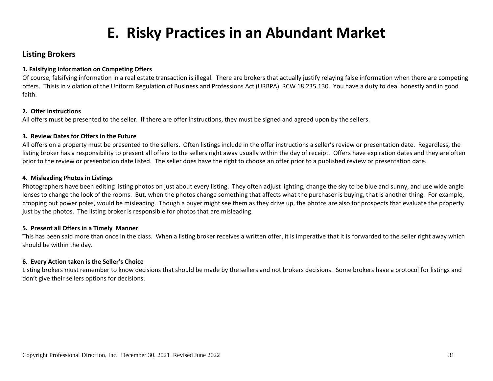### **E. Risky Practices in an Abundant Market**

#### **Listing Brokers**

#### **1. Falsifying Information on Competing Offers**

Of course, falsifying information in a real estate transaction is illegal. There are brokers that actually justify relaying false information when there are competing offers. Thisis in violation of the Uniform Regulation of Business and Professions Act (URBPA) RCW 18.235.130. You have a duty to deal honestly and in good faith.

#### **2. Offer Instructions**

All offers must be presented to the seller. If there are offer instructions, they must be signed and agreed upon by the sellers.

#### **3. Review Dates for Offers in the Future**

All offers on a property must be presented to the sellers. Often listings include in the offer instructions a seller's review or presentation date. Regardless, the listing broker has a responsibility to present all offers to the sellers right away usually within the day of receipt. Offers have expiration dates and they are often prior to the review or presentation date listed. The seller does have the right to choose an offer prior to a published review or presentation date.

#### **4. Misleading Photos in Listings**

Photographers have been editing listing photos on just about every listing. They often adjust lighting, change the sky to be blue and sunny, and use wide angle lenses to change the look of the rooms. But, when the photos change something that affects what the purchaser is buying, that is another thing. For example, cropping out power poles, would be misleading. Though a buyer might see them as they drive up, the photos are also for prospects that evaluate the property just by the photos. The listing broker is responsible for photos that are misleading.

#### **5. Present all Offers in a Timely Manner**

This has been said more than once in the class. When a listing broker receives a written offer, it is imperative that it is forwarded to the seller right away which should be within the day.

#### **6. Every Action taken is the Seller's Choice**

Listing brokers must remember to know decisions that should be made by the sellers and not brokers decisions. Some brokers have a protocol for listings and don't give their sellers options for decisions.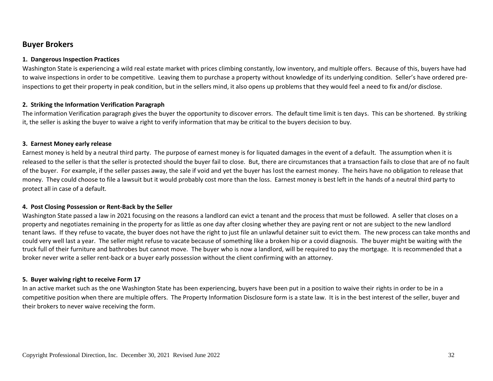#### **Buyer Brokers**

#### **1. Dangerous Inspection Practices**

Washington State is experiencing a wild real estate market with prices climbing constantly, low inventory, and multiple offers. Because of this, buyers have had to waive inspections in order to be competitive. Leaving them to purchase a property without knowledge of its underlying condition. Seller's have ordered preinspections to get their property in peak condition, but in the sellers mind, it also opens up problems that they would feel a need to fix and/or disclose.

#### **2. Striking the Information Verification Paragraph**

The information Verification paragraph gives the buyer the opportunity to discover errors. The default time limit is ten days. This can be shortened. By striking it, the seller is asking the buyer to waive a right to verify information that may be critical to the buyers decision to buy.

#### **3. Earnest Money early release**

Earnest money is held by a neutral third party. The purpose of earnest money is for liquated damages in the event of a default. The assumption when it is released to the seller is that the seller is protected should the buyer fail to close. But, there are circumstances that a transaction fails to close that are of no fault of the buyer. For example, if the seller passes away, the sale if void and yet the buyer has lost the earnest money. The heirs have no obligation to release that money. They could choose to file a lawsuit but it would probably cost more than the loss. Earnest money is best left in the hands of a neutral third party to protect all in case of a default.

#### **4. Post Closing Possession or Rent-Back by the Seller**

Washington State passed a law in 2021 focusing on the reasons a landlord can evict a tenant and the process that must be followed. A seller that closes on a property and negotiates remaining in the property for as little as one day after closing whether they are paying rent or not are subject to the new landlord tenant laws. If they refuse to vacate, the buyer does not have the right to just file an unlawful detainer suit to evict them. The new process can take months and could very well last a year. The seller might refuse to vacate because of something like a broken hip or a covid diagnosis. The buyer might be waiting with the truck full of their furniture and bathrobes but cannot move. The buyer who is now a landlord, will be required to pay the mortgage. It is recommended that a broker never write a seller rent-back or a buyer early possession without the client confirming with an attorney.

#### **5. Buyer waiving right to receive Form 17**

In an active market such as the one Washington State has been experiencing, buyers have been put in a position to waive their rights in order to be in a competitive position when there are multiple offers. The Property Information Disclosure form is a state law. It is in the best interest of the seller, buyer and their brokers to never waive receiving the form.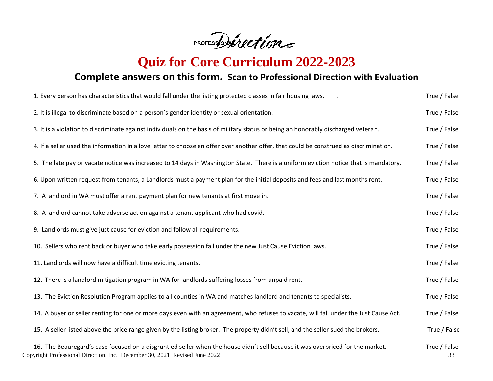PROFESSORVECTIOn

**Quiz for Core Curriculum 2022-2023**

### **Complete answers on this form. Scan to Professional Direction with Evaluation**

| 1. Every person has characteristics that would fall under the listing protected classes in fair housing laws.                                                                                                | True / False       |
|--------------------------------------------------------------------------------------------------------------------------------------------------------------------------------------------------------------|--------------------|
| 2. It is illegal to discriminate based on a person's gender identity or sexual orientation.                                                                                                                  | True / False       |
| 3. It is a violation to discriminate against individuals on the basis of military status or being an honorably discharged veteran.                                                                           | True / False       |
| 4. If a seller used the information in a love letter to choose an offer over another offer, that could be construed as discrimination.                                                                       | True / False       |
| 5. The late pay or vacate notice was increased to 14 days in Washington State. There is a uniform eviction notice that is mandatory.                                                                         | True / False       |
| 6. Upon written request from tenants, a Landlords must a payment plan for the initial deposits and fees and last months rent.                                                                                | True / False       |
| 7. A landlord in WA must offer a rent payment plan for new tenants at first move in.                                                                                                                         | True / False       |
| 8. A landlord cannot take adverse action against a tenant applicant who had covid.                                                                                                                           | True / False       |
| 9. Landlords must give just cause for eviction and follow all requirements.                                                                                                                                  | True / False       |
| 10. Sellers who rent back or buyer who take early possession fall under the new Just Cause Eviction laws.                                                                                                    | True / False       |
| 11. Landlords will now have a difficult time evicting tenants.                                                                                                                                               | True / False       |
| 12. There is a landlord mitigation program in WA for landlords suffering losses from unpaid rent.                                                                                                            | True / False       |
| 13. The Eviction Resolution Program applies to all counties in WA and matches landlord and tenants to specialists.                                                                                           | True / False       |
| 14. A buyer or seller renting for one or more days even with an agreement, who refuses to vacate, will fall under the Just Cause Act.                                                                        | True / False       |
| 15. A seller listed above the price range given by the listing broker. The property didn't sell, and the seller sued the brokers.                                                                            | True / False       |
| 16. The Beauregard's case focused on a disgruntled seller when the house didn't sell because it was overpriced for the market.<br>Copyright Professional Direction, Inc. December 30, 2021 Revised June 2022 | True / False<br>33 |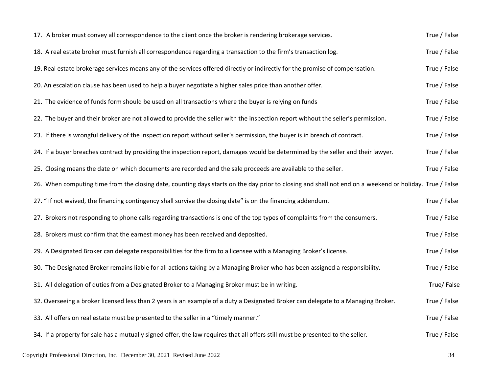| 17. A broker must convey all correspondence to the client once the broker is rendering brokerage services.                                              | True / False |
|---------------------------------------------------------------------------------------------------------------------------------------------------------|--------------|
| 18. A real estate broker must furnish all correspondence regarding a transaction to the firm's transaction log.                                         | True / False |
| 19. Real estate brokerage services means any of the services offered directly or indirectly for the promise of compensation.                            | True / False |
| 20. An escalation clause has been used to help a buyer negotiate a higher sales price than another offer.                                               | True / False |
| 21. The evidence of funds form should be used on all transactions where the buyer is relying on funds                                                   | True / False |
| 22. The buyer and their broker are not allowed to provide the seller with the inspection report without the seller's permission.                        | True / False |
| 23. If there is wrongful delivery of the inspection report without seller's permission, the buyer is in breach of contract.                             | True / False |
| 24. If a buyer breaches contract by providing the inspection report, damages would be determined by the seller and their lawyer.                        | True / False |
| 25. Closing means the date on which documents are recorded and the sale proceeds are available to the seller.                                           | True / False |
| 26. When computing time from the closing date, counting days starts on the day prior to closing and shall not end on a weekend or holiday. True / False |              |
| 27. "If not waived, the financing contingency shall survive the closing date" is on the financing addendum.                                             | True / False |
| 27. Brokers not responding to phone calls regarding transactions is one of the top types of complaints from the consumers.                              | True / False |
| 28. Brokers must confirm that the earnest money has been received and deposited.                                                                        | True / False |
| 29. A Designated Broker can delegate responsibilities for the firm to a licensee with a Managing Broker's license.                                      | True / False |
| 30. The Designated Broker remains liable for all actions taking by a Managing Broker who has been assigned a responsibility.                            | True / False |
| 31. All delegation of duties from a Designated Broker to a Managing Broker must be in writing.                                                          | True/False   |
| 32. Overseeing a broker licensed less than 2 years is an example of a duty a Designated Broker can delegate to a Managing Broker.                       | True / False |
| 33. All offers on real estate must be presented to the seller in a "timely manner."                                                                     | True / False |
| 34. If a property for sale has a mutually signed offer, the law requires that all offers still must be presented to the seller.                         | True / False |
| Copyright Professional Direction, Inc. December 30, 2021 Revised June 2022                                                                              | 34           |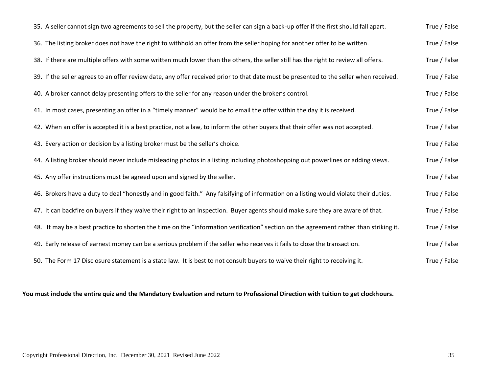| 35. A seller cannot sign two agreements to sell the property, but the seller can sign a back-up offer if the first should fall apart.  | True / False |
|----------------------------------------------------------------------------------------------------------------------------------------|--------------|
| 36. The listing broker does not have the right to withhold an offer from the seller hoping for another offer to be written.            | True / False |
| 38. If there are multiple offers with some written much lower than the others, the seller still has the right to review all offers.    | True / False |
| 39. If the seller agrees to an offer review date, any offer received prior to that date must be presented to the seller when received. | True / False |
| 40. A broker cannot delay presenting offers to the seller for any reason under the broker's control.                                   | True / False |
| 41. In most cases, presenting an offer in a "timely manner" would be to email the offer within the day it is received.                 | True / False |
| 42. When an offer is accepted it is a best practice, not a law, to inform the other buyers that their offer was not accepted.          | True / False |
| 43. Every action or decision by a listing broker must be the seller's choice.                                                          | True / False |
| 44. A listing broker should never include misleading photos in a listing including photoshopping out powerlines or adding views.       | True / False |
| 45. Any offer instructions must be agreed upon and signed by the seller.                                                               | True / False |
| 46. Brokers have a duty to deal "honestly and in good faith." Any falsifying of information on a listing would violate their duties.   | True / False |
| 47. It can backfire on buyers if they waive their right to an inspection. Buyer agents should make sure they are aware of that.        | True / False |
| 48. It may be a best practice to shorten the time on the "information verification" section on the agreement rather than striking it.  | True / False |
| 49. Early release of earnest money can be a serious problem if the seller who receives it fails to close the transaction.              | True / False |
| 50. The Form 17 Disclosure statement is a state law. It is best to not consult buyers to waive their right to receiving it.            | True / False |

#### **You must include the entire quiz and the Mandatory Evaluation and return to Professional Direction with tuition to get clockhours.**